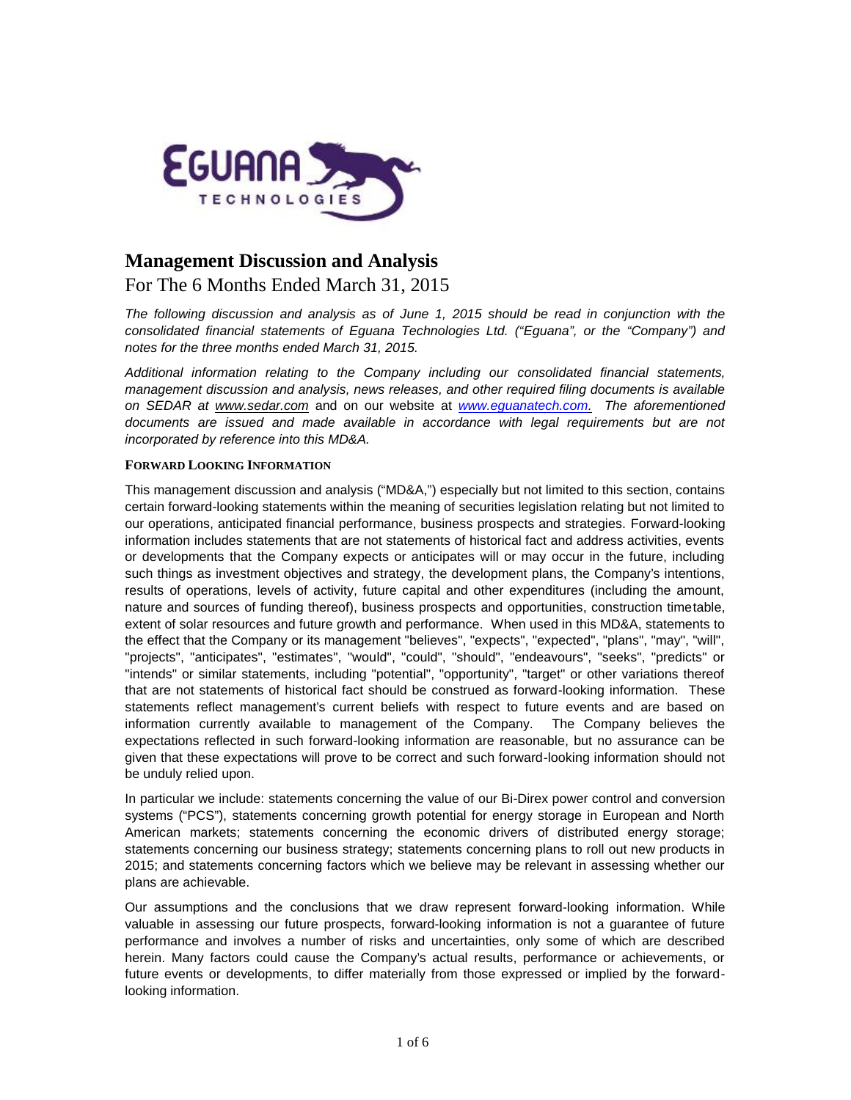

# **Management Discussion and Analysis**

# For The 6 Months Ended March 31, 2015

*The following discussion and analysis as of June 1, 2015 should be read in conjunction with the consolidated financial statements of Eguana Technologies Ltd. ("Eguana", or the "Company") and notes for the three months ended March 31, 2015.*

*Additional information relating to the Company including our consolidated financial statements, management discussion and analysis, news releases, and other required filing documents is available on SEDAR at www.sedar.com* and on our website at *www.eguanatech.com. The aforementioned documents are issued and made available in accordance with legal requirements but are not incorporated by reference into this MD&A.*

#### **FORWARD LOOKING INFORMATION**

This management discussion and analysis ("MD&A,") especially but not limited to this section, contains certain forward-looking statements within the meaning of securities legislation relating but not limited to our operations, anticipated financial performance, business prospects and strategies. Forward-looking information includes statements that are not statements of historical fact and address activities, events or developments that the Company expects or anticipates will or may occur in the future, including such things as investment objectives and strategy, the development plans, the Company's intentions, results of operations, levels of activity, future capital and other expenditures (including the amount, nature and sources of funding thereof), business prospects and opportunities, construction timetable, extent of solar resources and future growth and performance. When used in this MD&A, statements to the effect that the Company or its management "believes", "expects", "expected", "plans", "may", "will", "projects", "anticipates", "estimates", "would", "could", "should", "endeavours", "seeks", "predicts" or "intends" or similar statements, including "potential", "opportunity", "target" or other variations thereof that are not statements of historical fact should be construed as forward-looking information. These statements reflect management's current beliefs with respect to future events and are based on information currently available to management of the Company. The Company believes the expectations reflected in such forward-looking information are reasonable, but no assurance can be given that these expectations will prove to be correct and such forward-looking information should not be unduly relied upon.

In particular we include: statements concerning the value of our Bi-Direx power control and conversion systems ("PCS"), statements concerning growth potential for energy storage in European and North American markets; statements concerning the economic drivers of distributed energy storage; statements concerning our business strategy; statements concerning plans to roll out new products in 2015; and statements concerning factors which we believe may be relevant in assessing whether our plans are achievable.

Our assumptions and the conclusions that we draw represent forward-looking information. While valuable in assessing our future prospects, forward-looking information is not a guarantee of future performance and involves a number of risks and uncertainties, only some of which are described herein. Many factors could cause the Company's actual results, performance or achievements, or future events or developments, to differ materially from those expressed or implied by the forwardlooking information.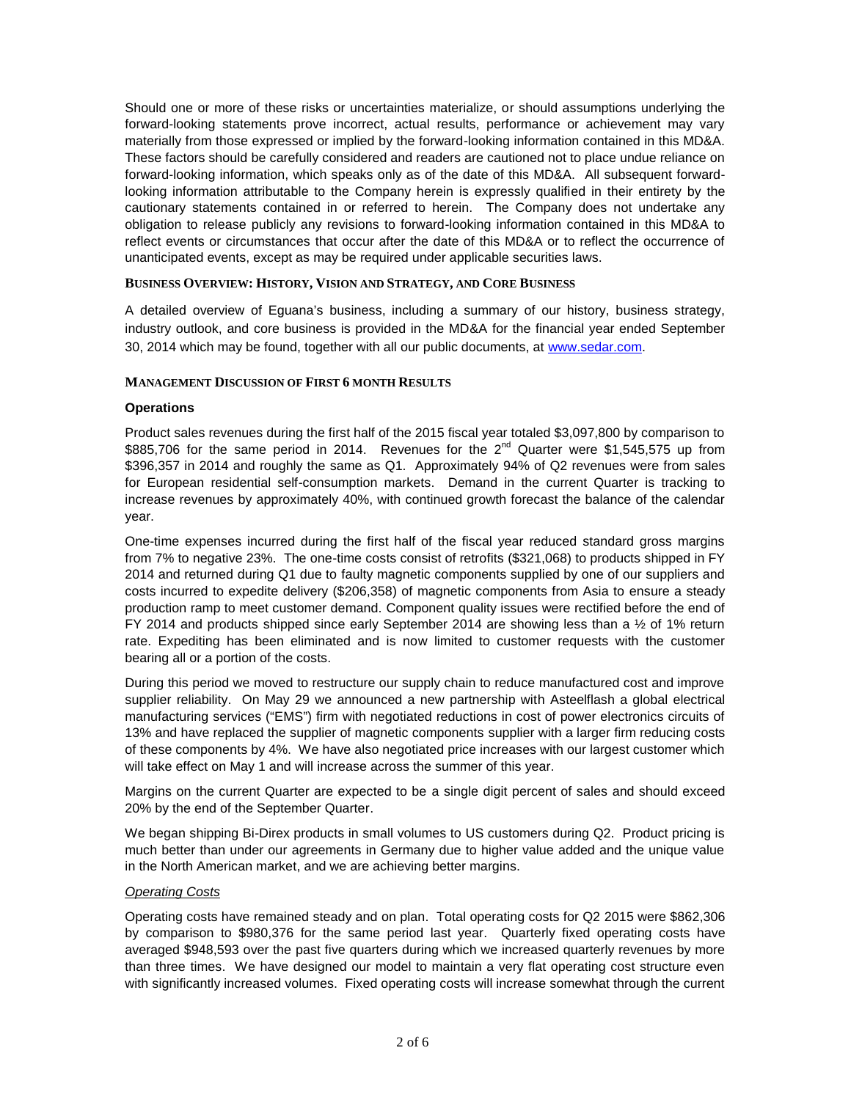Should one or more of these risks or uncertainties materialize, or should assumptions underlying the forward-looking statements prove incorrect, actual results, performance or achievement may vary materially from those expressed or implied by the forward-looking information contained in this MD&A. These factors should be carefully considered and readers are cautioned not to place undue reliance on forward-looking information, which speaks only as of the date of this MD&A. All subsequent forwardlooking information attributable to the Company herein is expressly qualified in their entirety by the cautionary statements contained in or referred to herein. The Company does not undertake any obligation to release publicly any revisions to forward-looking information contained in this MD&A to reflect events or circumstances that occur after the date of this MD&A or to reflect the occurrence of unanticipated events, except as may be required under applicable securities laws.

# **BUSINESS OVERVIEW: HISTORY, VISION AND STRATEGY, AND CORE BUSINESS**

A detailed overview of Eguana's business, including a summary of our history, business strategy, industry outlook, and core business is provided in the MD&A for the financial year ended September 30, 2014 which may be found, together with all our public documents, at www.sedar.com.

#### **MANAGEMENT DISCUSSION OF FIRST 6 MONTH RESULTS**

#### **Operations**

Product sales revenues during the first half of the 2015 fiscal year totaled \$3,097,800 by comparison to \$885,706 for the same period in 2014. Revenues for the  $2^{nd}$  Quarter were \$1,545,575 up from \$396,357 in 2014 and roughly the same as Q1. Approximately 94% of Q2 revenues were from sales for European residential self-consumption markets. Demand in the current Quarter is tracking to increase revenues by approximately 40%, with continued growth forecast the balance of the calendar year.

One-time expenses incurred during the first half of the fiscal year reduced standard gross margins from 7% to negative 23%. The one-time costs consist of retrofits (\$321,068) to products shipped in FY 2014 and returned during Q1 due to faulty magnetic components supplied by one of our suppliers and costs incurred to expedite delivery (\$206,358) of magnetic components from Asia to ensure a steady production ramp to meet customer demand. Component quality issues were rectified before the end of FY 2014 and products shipped since early September 2014 are showing less than a  $\frac{1}{2}$  of 1% return rate. Expediting has been eliminated and is now limited to customer requests with the customer bearing all or a portion of the costs.

During this period we moved to restructure our supply chain to reduce manufactured cost and improve supplier reliability. On May 29 we announced a new partnership with Asteelflash a global electrical manufacturing services ("EMS") firm with negotiated reductions in cost of power electronics circuits of 13% and have replaced the supplier of magnetic components supplier with a larger firm reducing costs of these components by 4%. We have also negotiated price increases with our largest customer which will take effect on May 1 and will increase across the summer of this year.

Margins on the current Quarter are expected to be a single digit percent of sales and should exceed 20% by the end of the September Quarter.

We began shipping Bi-Direx products in small volumes to US customers during Q2. Product pricing is much better than under our agreements in Germany due to higher value added and the unique value in the North American market, and we are achieving better margins.

# *Operating Costs*

Operating costs have remained steady and on plan. Total operating costs for Q2 2015 were \$862,306 by comparison to \$980,376 for the same period last year. Quarterly fixed operating costs have averaged \$948,593 over the past five quarters during which we increased quarterly revenues by more than three times. We have designed our model to maintain a very flat operating cost structure even with significantly increased volumes. Fixed operating costs will increase somewhat through the current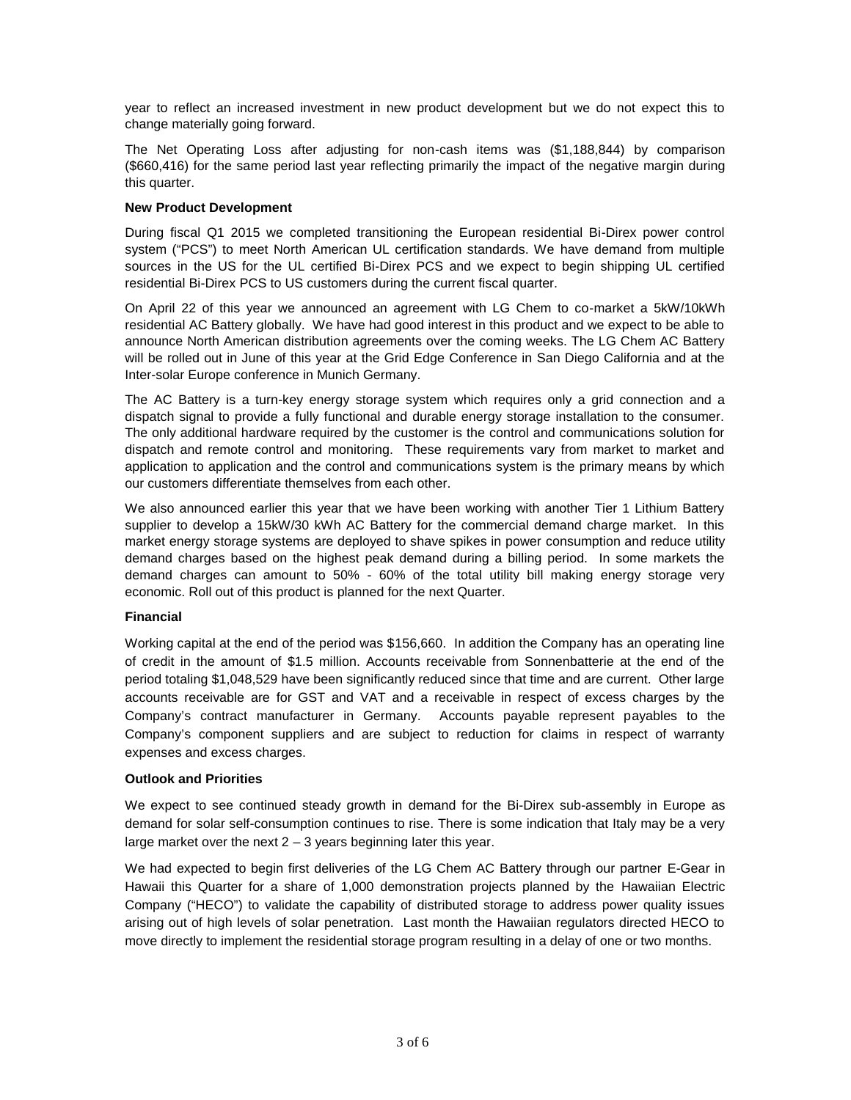year to reflect an increased investment in new product development but we do not expect this to change materially going forward.

The Net Operating Loss after adjusting for non-cash items was (\$1,188,844) by comparison (\$660,416) for the same period last year reflecting primarily the impact of the negative margin during this quarter.

#### **New Product Development**

During fiscal Q1 2015 we completed transitioning the European residential Bi-Direx power control system ("PCS") to meet North American UL certification standards. We have demand from multiple sources in the US for the UL certified Bi-Direx PCS and we expect to begin shipping UL certified residential Bi-Direx PCS to US customers during the current fiscal quarter.

On April 22 of this year we announced an agreement with LG Chem to co-market a 5kW/10kWh residential AC Battery globally. We have had good interest in this product and we expect to be able to announce North American distribution agreements over the coming weeks. The LG Chem AC Battery will be rolled out in June of this year at the Grid Edge Conference in San Diego California and at the Inter-solar Europe conference in Munich Germany.

The AC Battery is a turn-key energy storage system which requires only a grid connection and a dispatch signal to provide a fully functional and durable energy storage installation to the consumer. The only additional hardware required by the customer is the control and communications solution for dispatch and remote control and monitoring. These requirements vary from market to market and application to application and the control and communications system is the primary means by which our customers differentiate themselves from each other.

We also announced earlier this year that we have been working with another Tier 1 Lithium Battery supplier to develop a 15kW/30 kWh AC Battery for the commercial demand charge market. In this market energy storage systems are deployed to shave spikes in power consumption and reduce utility demand charges based on the highest peak demand during a billing period. In some markets the demand charges can amount to 50% - 60% of the total utility bill making energy storage very economic. Roll out of this product is planned for the next Quarter.

# **Financial**

Working capital at the end of the period was \$156,660. In addition the Company has an operating line of credit in the amount of \$1.5 million. Accounts receivable from Sonnenbatterie at the end of the period totaling \$1,048,529 have been significantly reduced since that time and are current. Other large accounts receivable are for GST and VAT and a receivable in respect of excess charges by the Company's contract manufacturer in Germany. Accounts payable represent payables to the Company's component suppliers and are subject to reduction for claims in respect of warranty expenses and excess charges.

#### **Outlook and Priorities**

We expect to see continued steady growth in demand for the Bi-Direx sub-assembly in Europe as demand for solar self-consumption continues to rise. There is some indication that Italy may be a very large market over the next  $2 - 3$  years beginning later this year.

We had expected to begin first deliveries of the LG Chem AC Battery through our partner E-Gear in Hawaii this Quarter for a share of 1,000 demonstration projects planned by the Hawaiian Electric Company ("HECO") to validate the capability of distributed storage to address power quality issues arising out of high levels of solar penetration. Last month the Hawaiian regulators directed HECO to move directly to implement the residential storage program resulting in a delay of one or two months.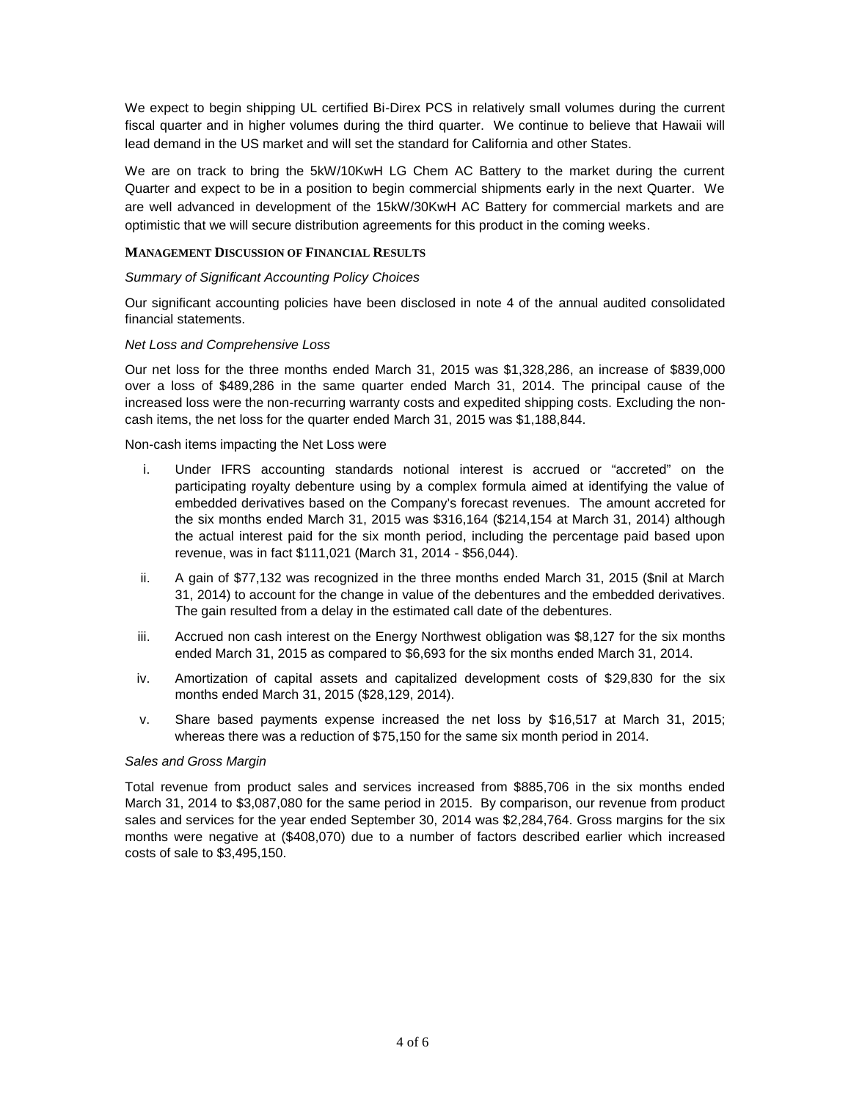We expect to begin shipping UL certified Bi-Direx PCS in relatively small volumes during the current fiscal quarter and in higher volumes during the third quarter. We continue to believe that Hawaii will lead demand in the US market and will set the standard for California and other States.

We are on track to bring the 5kW/10KwH LG Chem AC Battery to the market during the current Quarter and expect to be in a position to begin commercial shipments early in the next Quarter. We are well advanced in development of the 15kW/30KwH AC Battery for commercial markets and are optimistic that we will secure distribution agreements for this product in the coming weeks.

# **MANAGEMENT DISCUSSION OF FINANCIAL RESULTS**

# *Summary of Significant Accounting Policy Choices*

Our significant accounting policies have been disclosed in note 4 of the annual audited consolidated financial statements.

# *Net Loss and Comprehensive Loss*

Our net loss for the three months ended March 31, 2015 was \$1,328,286, an increase of \$839,000 over a loss of \$489,286 in the same quarter ended March 31, 2014. The principal cause of the increased loss were the non-recurring warranty costs and expedited shipping costs. Excluding the non cash items, the net loss for the quarter ended March 31, 2015 was \$1,188,844.

Non-cash items impacting the Net Loss were

- i. Under IFRS accounting standards notional interest is accrued or "accreted" on the participating royalty debenture using by a complex formula aimed at identifying the value of embedded derivatives based on the Company's forecast revenues. The amount accreted for the six months ended March 31, 2015 was \$316,164 (\$214,154 at March 31, 2014) although the actual interest paid for the six month period, including the percentage paid based upon revenue, was in fact \$111,021 (March 31, 2014 - \$56,044).
- ii. A gain of \$77,132 was recognized in the three months ended March 31, 2015 (\$nil at March 31, 2014) to account for the change in value of the debentures and the embedded derivatives. The gain resulted from a delay in the estimated call date of the debentures.
- iii. Accrued non cash interest on the Energy Northwest obligation was \$8,127 for the six months ended March 31, 2015 as compared to \$6,693 for the six months ended March 31, 2014.
- iv. Amortization of capital assets and capitalized development costs of \$29,830 for the six months ended March 31, 2015 (\$28,129, 2014).
- v. Share based payments expense increased the net loss by \$16,517 at March 31, 2015; whereas there was a reduction of \$75,150 for the same six month period in 2014.

# *Sales and Gross Margin*

Total revenue from product sales and services increased from \$885,706 in the six months ended March 31, 2014 to \$3,087,080 for the same period in 2015. By comparison, our revenue from product sales and services for the year ended September 30, 2014 was \$2,284,764. Gross margins for the six months were negative at (\$408,070) due to a number of factors described earlier which increased costs of sale to \$3,495,150.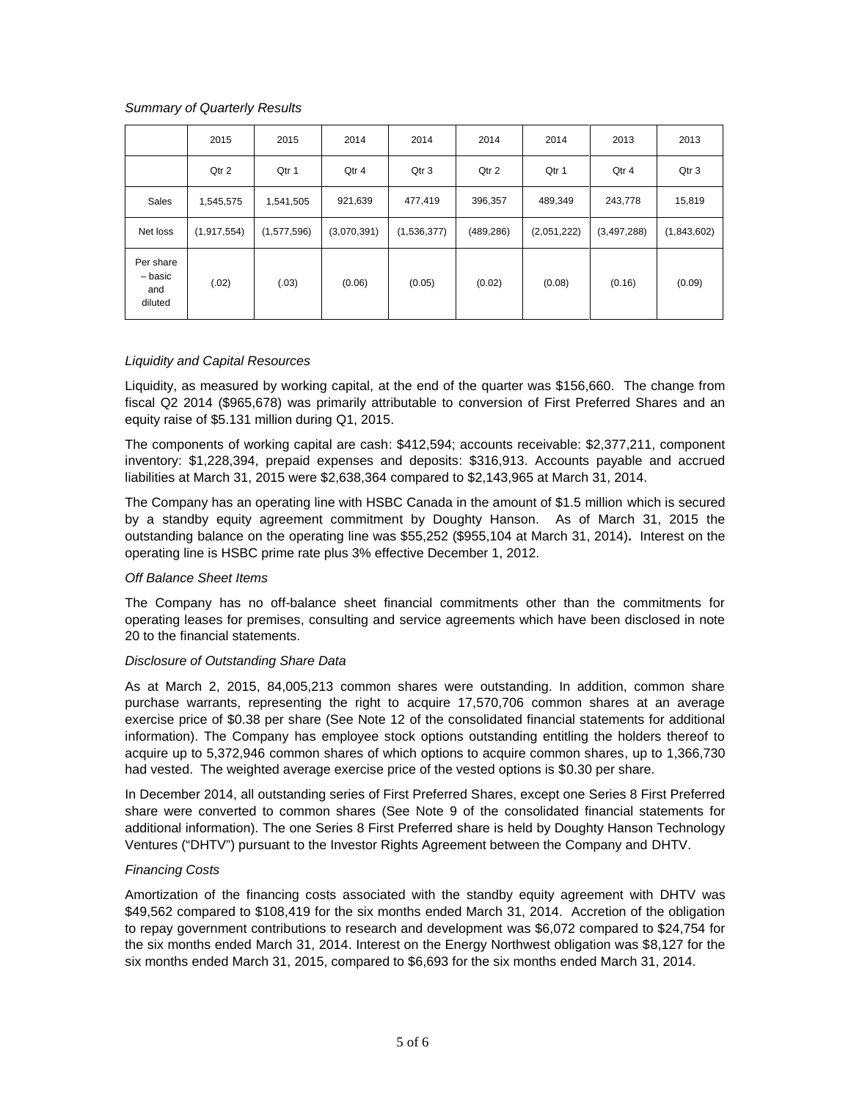# *Summary of Quarterly Results*

|                                        | 2015        | 2015        | 2014        | 2014        | 2014       | 2014        | 2013        | 2013        |
|----------------------------------------|-------------|-------------|-------------|-------------|------------|-------------|-------------|-------------|
|                                        | Qtr 2       | Qtr 1       | Qtr 4       | Qtr 3       | Qtr 2      | Qtr 1       | Qtr 4       | Qtr 3       |
| Sales                                  | 1,545,575   | 1,541,505   | 921,639     | 477,419     | 396,357    | 489,349     | 243,778     | 15,819      |
| Net loss                               | (1,917,554) | (1,577,596) | (3,070,391) | (1,536,377) | (489, 286) | (2,051,222) | (3,497,288) | (1,843,602) |
| Per share<br>- basic<br>and<br>diluted | (.02)       | (.03)       | (0.06)      | (0.05)      | (0.02)     | (0.08)      | (0.16)      | (0.09)      |

#### *Liquidity and Capital Resources*

Liquidity, as measured by working capital, at the end of the quarter was \$156,660. The change from fiscal Q2 2014 (\$965,678) was primarily attributable to conversion of First Preferred Shares and an equity raise of \$5.131 million during Q1, 2015.

The components of working capital are cash: \$412,594; accounts receivable: \$2,377,211, component inventory: \$1,228,394, prepaid expenses and deposits: \$316,913. Accounts payable and accrued liabilities at March 31, 2015 were \$2,638,364 compared to \$2,143,965 at March 31, 2014.

The Company has an operating line with HSBC Canada in the amount of \$1.5 million which is secured by a standby equity agreement commitment by Doughty Hanson. As of March 31, 2015 the outstanding balance on the operating line was \$55,252 (\$955,104 at March 31, 2014)**.** Interest on the operating line is HSBC prime rate plus 3% effective December 1, 2012.

# *Off Balance Sheet Items*

The Company has no off-balance sheet financial commitments other than the commitments for operating leases for premises, consulting and service agreements which have been disclosed in note 20 to the financial statements.

#### *Disclosure of Outstanding Share Data*

As at March 2, 2015, 84,005,213 common shares were outstanding. In addition, common share purchase warrants, representing the right to acquire 17,570,706 common shares at an average exercise price of \$0.38 per share (See Note 12 of the consolidated financial statements for additional information). The Company has employee stock options outstanding entitling the holders thereof to acquire up to 5,372,946 common shares of which options to acquire common shares, up to 1,366,730 had vested. The weighted average exercise price of the vested options is \$0.30 per share.

In December 2014, all outstanding series of First Preferred Shares, except one Series 8 First Preferred share were converted to common shares (See Note 9 of the consolidated financial statements for additional information). The one Series 8 First Preferred share is held by Doughty Hanson Technology Ventures ("DHTV") pursuant to the Investor Rights Agreement between the Company and DHTV.

#### *Financing Costs*

Amortization of the financing costs associated with the standby equity agreement with DHTV was \$49,562 compared to \$108,419 for the six months ended March 31, 2014. Accretion of the obligation to repay government contributions to research and development was \$6,072 compared to \$24,754 for the six months ended March 31, 2014. Interest on the Energy Northwest obligation was \$8,127 for the six months ended March 31, 2015, compared to \$6,693 for the six months ended March 31, 2014.